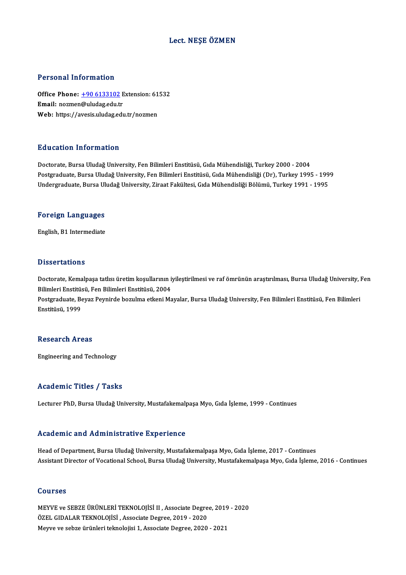### Lect.NEŞE ÖZMEN

### Personal Information

Personal Information<br>Office Phone: <u>+90 6133102</u> Extension: 61532<br>Email: nozmon@uludag.edu.tr Procession Information<br>Office Phone: <u>+90 6133102</u> E<br>Email: nozmen[@uludag.edu.t](tel:+90 6133102)r Office Phone: <u>+90 6133102</u> Extension: 61<br>Email: nozmen@uludag.edu.tr<br>Web: https://avesis.uludag.edu.tr/nozmen Web: https://avesis.uludag.edu.tr/nozmen<br>Education Information

Doctorate, Bursa Uludağ University, Fen Bilimleri Enstitüsü, Gıda Mühendisliği, Turkey 2000 - 2004 Pu u sutrom minominusion<br>Doctorate, Bursa Uludağ University, Fen Bilimleri Enstitüsü, Gıda Mühendisliği, Turkey 2000 - 2004<br>Postgraduate, Bursa Uludağ University, Fen Bilimleri Enstitüsü, Gıda Mühendisliği (Dr), Turkey 199 Doctorate, Bursa Uludağ University, Fen Bilimleri Enstitüsü, Gıda Mühendisliği, Turkey 2000 - 2004<br>Postgraduate, Bursa Uludağ University, Fen Bilimleri Enstitüsü, Gıda Mühendisliği (Dr), Turkey 1995 - 199<br>Undergraduate, Bu

# <sub>ondergraduate, bursa of<br>Foreign Languages</sub> F<mark>oreign Languages</mark><br>English, B1 Intermediate

English, B1 Intermediate<br>Dissertations

Dissertations<br>Doctorate, Kemalpaşa tatlısı üretim koşullarının iyileştirilmesi ve raf ömrünün araştırılması, Bursa Uludağ University, Fen<br>Bilimleri Enstitüsü, Fen Bilimleri Enstitüsü, 2004 Bilimleri<br>Bilimleri Enstitüsü, Fen Bilimleri Enstitüsü, 2004<br>Bestaraduata, Beyar Beynirde berulma etkeni Ma Doctorate, Kemalpaşa tatlısı üretim koşullarının iyileştirilmesi ve raf ömrünün araştırılması, Bursa Uludağ University, l<br>Bilimleri Enstitüsü, Fen Bilimleri Enstitüsü, 2004<br>Postgraduate, Beyaz Peynirde bozulma etkeni Mayal

Bilimleri Enstitüsü, Fen Bilimleri Enstitüsü, 2004<br>Postgraduate, Beyaz Peynirde bozulma etkeni Mayalar, Bursa Uludağ University, Fen Bilimleri Enstitüsü, Fen Bilimleri<br>Enstitüsü, 1999

### **Research Areas**

Engineering and Technology

### Academic Titles / Tasks

Lecturer PhD, Bursa Uludağ University, Mustafakemalpaşa Myo, Gıda İşleme, 1999 - Continues

### Academic and Administrative Experience

Head of Department, Bursa Uludağ University, Mustafakemalpaşa Myo, Gıda İşleme, 2017 - Continues Assistant Director of Vocational School, Bursa Uludağ University, Mustafakemalpaşa Myo, Gıda İşleme, 2016 - Continues

### Courses

Courses<br>MEYVE ve SEBZE ÜRÜNLERİ TEKNOLOJİSİ II , Associate Degree, 2019 - 2020<br>ÖZEL GIDALAR TEKNOLOJİSİ , Associate Degree, 2019 - 2020 ÖƏNTƏSƏ<br>MEYVE ve SEBZE ÜRÜNLERİ TEKNOLOJİSİ II , Associate Degre<br>ÖZEL GIDALAR TEKNOLOJİSİ , Associate Degree, 2019 - 2020<br>Meyye ve sebre üyünleri telmelejisi 1. Associate Degree, 2020 ÖZEL GIDALAR TEKNOLOJISİ , Associate Degree, 2019 - 2020<br>Meyve ve sebze ürünleri teknolojisi 1, Associate Degree, 2020 - 2021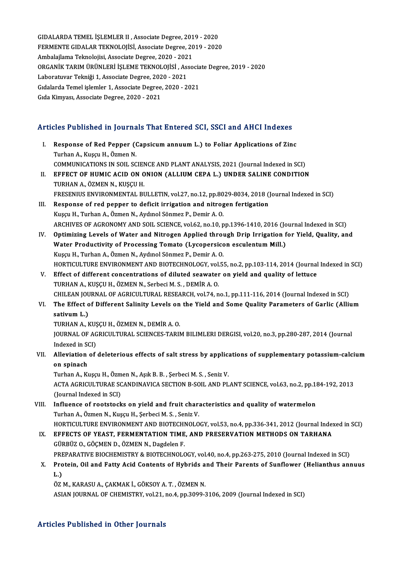GIDALARDA TEMEL İŞLEMLER II, Associate Degree, 2019 - 2020 GIDALARDA TEMEL İŞLEMLER II , Associate Degree, 2019 - 2020<br>FERMENTE GIDALAR TEKNOLOJİSİ, Associate Degree, 2019 - 2020<br>Ambalajlama Telmelejisi, Associate Degree, 2020 - 2021 GIDALARDA TEMEL İŞLEMLER II , Associate Degree, 201<br>FERMENTE GIDALAR TEKNOLOJİSİ, Associate Degree, 20<br>Ambalajlama Teknolojisi, Associate Degree, 2020 - 2021<br>OPCANİK TARIM ÜBÜNI ERİ İSLEME TEKNOLOJİSİ. ASSO FERMENTE GIDALAR TEKNOLOJİSİ, Associate Degree, 2019 - 2020<br>Ambalajlama Teknolojisi, Associate Degree, 2020 - 2021<br>ORGANİK TARIM ÜRÜNLERİ İŞLEME TEKNOLOJİSİ , Associate Degree, 2019 - 2020<br>Labaratuyar Telmiği 1. Associate Ambalajlama Teknolojisi, Associate Degree, 2020 - 202<br>ORGANİK TARIM ÜRÜNLERİ İŞLEME TEKNOLOJİSİ , As:<br>Laboratuvar Tekniği 1, Associate Degree, 2020 - 2021<br>Cidalarda Tamel islamlar 1, Associate Degree, 2020 - 20 ORGANİK TARIM ÜRÜNLERİ İŞLEME TEKNOLOJİSİ , Associa<br>Laboratuvar Tekniği 1, Associate Degree, 2020 - 2021<br>Gıdalarda Temel işlemler 1, Associate Degree, 2020 - 2021<br>Cıda Kimyası, Associate Degree, 2020 - 2021 Laboratuvar Tekniği 1, Associate Degree, 2020 - 2021<br>Gıdalarda Temel işlemler 1, Associate Degree, 2020 - 2021<br>Gıda Kimyası, Associate Degree, 2020 - 2021

# Articles Published in Journals That Entered SCI, SSCI and AHCI Indexes

- rticles Published in Journals That Entered SCI, SSCI and AHCI Indexes<br>I. Response of Red Pepper (Capsicum annuum L.) to Foliar Applications of Zinc I. Response of Red Pepper (Capsicum annuum L.) to Foliar Applications of Zinc<br>Turhan A., Kuşçu H., Özmen N. Response of Red Pepper (Capsicum annuum L.) to Foliar Applications of Zinc<br>Turhan A., Kuşçu H., Özmen N.<br>COMMUNICATIONS IN SOIL SCIENCE AND PLANT ANALYSIS, 2021 (Journal Indexed in SCI)<br>FEEECT OF HUMIC ACID ON ONION (ALLUI
- II. EFFECT OF HUMIC ACID ON ONION (ALLIUM CEPA L.) UNDER SALINE CONDITION<br>TURHAN A., ÖZMEN N., KUSCU H. COMMUNICATIONS IN SOIL SCIEN<br><mark>EFFECT OF HUMIC ACID ON O</mark><br>TURHAN A., ÖZMEN N., KUŞÇU H.<br>EPESENIJIS ENVIRONMENTAL PI EFFECT OF HUMIC ACID ON ONION (ALLIUM CEPA L.) UNDER SALINE CONDITION<br>TURHAN A., ÖZMEN N., KUŞÇU H.<br>FRESENIUS ENVIRONMENTAL BULLETIN, vol.27, no.12, pp.8029-8034, 2018 (Journal Indexed in SCI)<br>Besperse of red penner to def
- III. Response of red pepper to deficit irrigation and nitrogen fertigation Kuscu H., Turhan A., Özmen N., Aydınol Sönmez P., Demir A. O. FRESENIUS ENVIRONMENTAL BULLETIN, vol.27, no.12, pp.80<br>Response of red pepper to deficit irrigation and nitrog<br>Kuşçu H., Turhan A., Özmen N., Aydınol Sönmez P., Demir A. O.<br>ARCHIVES OF ACRONOMY AND SOU, SCIENCE vol.62, no. ARCHIVES OF AGRONOMY AND SOIL SCIENCE, vol.62, no.10, pp.1396-1410, 2016 (Journal Indexed in SCI) Kuşçu H., Turhan A., Özmen N., Aydınol Sönmez P., Demir A. O.<br>ARCHIVES OF AGRONOMY AND SOIL SCIENCE, vol.62, no.10, pp.1396-1410, 2016 (Journal Indexed in SCI)<br>IV. Optimizing Levels of Water and Nitrogen Applied through Dr
- ARCHIVES OF AGRONOMY AND SOIL SCIENCE, vol.62, no.10, pp.1396-1410, 2016 (Jo<br>Optimizing Levels of Water and Nitrogen Applied through Drip Irrigation f<br>Water Productivity of Processing Tomato (Lycopersicon esculentum Mill.) Optimizing Levels of Water and Nitrogen Applied throu<br>Water Productivity of Processing Tomato (Lycopersicc<br>Kuşçu H., Turhan A., Özmen N., Aydınol Sönmez P., Demir A. O.<br>HOPTICULTURE ENVIRONMENT AND PIOTECHNOLOCY vol 5 Water Productivity of Processing Tomato (Lycopersicon esculentum Mill.)<br>Kuşçu H., Turhan A., Özmen N., Aydınol Sönmez P., Demir A. O.<br>HORTICULTURE ENVIRONMENT AND BIOTECHNOLOGY, vol.55, no.2, pp.103-114, 2014 (Journal Inde
- V. Effect of different concentrations of diluted seawater on yield and quality of lettuce TURHANA.,KUŞÇUH.,ÖZMENN.,SerbeciM.S. ,DEMİRA.O. Effect of different concentrations of diluted seawater on yield and quality of lettuce<br>TURHAN A., KUŞÇU H., ÖZMEN N., Serbeci M. S. , DEMİR A. O.<br>CHILEAN JOURNAL OF AGRICULTURAL RESEARCH, vol.74, no.1, pp.111-116, 2014 (Jo TURHAN A., KUŞÇU H., ÖZMEN N., Serbeci M. S. , DEMİR A. O.<br>CHILEAN JOURNAL OF AGRICULTURAL RESEARCH, vol.74, no.1, pp.111-116, 2014 (Journal Indexed in SCI)<br>VI. The Effect of Different Salinity Levels on the Yield and Some
- CHILEAN JOU<br>The Effect o<br>sativum L.)<br>TUPHAN A. L The Effect of Different Salinity Levels on<br>sativum L.)<br>TURHAN A., KUŞÇU H., ÖZMEN N., DEMİR A. O.<br>JOUPMAL OF ACRICULTURAL SCIENCES TARIL

sativum L.)<br>TURHAN A., KUŞÇU H., ÖZMEN N., DEMİR A. O.<br>JOURNAL OF AGRICULTURAL SCIENCES-TARIM BILIMLERI DERGISI, vol.20, no.3, pp.280-287, 2014 (Journal<br>Indexed in SCI) TURHAN A., KUŞ<br>JOURNAL OF AG<br>Indexed in SCI)<br>Allowiation of JOURNAL OF AGRICULTURAL SCIENCES-TARIM BILIMLERI DERGISI, vol.20, no.3, pp.280-287, 2014 (Journal Indexed in SCI)<br>VII. Alleviation of deleterious effects of salt stress by applications of supplementary potassium-calcium<br>OR

# Indexed in SON<br>Alleviation<br>on spinach<br>Turban A. Ku

on spinach<br>Turhan A., Kuşçu H., Özmen N., Aşık B. B. , Şerbeci M. S. , Seniz V. on spinach<br>Turhan A., Kuşçu H., Özmen N., Aşık B. B. , Şerbeci M. S. , Seniz V.<br>ACTA AGRICULTURAE SCANDINAVICA SECTION B-SOIL AND PLANT SCIENCE, vol.63, no.2, pp.184-192, 2013<br>(Journal Indoved in SCD Turhan A., Kuşçu H., Özm<br>ACTA AGRICULTURAE SC<br>(Journal Indexed in SCI)<br>Influence of reatateck ACTA AGRICULTURAE SCANDINAVICA SECTION B-SOIL AND PLANT SCIENCE, vol.63, no.2, pp.14<br>(Journal Indexed in SCI)<br>VIII. Influence of rootstocks on yield and fruit characteristics and quality of watermelon<br>Turban A. Özmon N. Ku

# (Journal Indexed in SCI)<br>VIII. Influence of rootstocks on yield and fruit characteristics and quality of watermelon<br>Turhan A., Özmen N., Kuşçu H., Şerbeci M. S. , Seniz V. Influence of rootstocks on yield and fruit characteristics and quality of watermelon<br>Turhan A., Özmen N., Kuşçu H., Şerbeci M. S. , Seniz V.<br>HORTICULTURE ENVIRONMENT AND BIOTECHNOLOGY, vol.53, no.4, pp.336-341, 2012 (Journ

Turhan A., Özmen N., Kuşçu H., Şerbeci M. S. , Seniz V.<br>HORTICULTURE ENVIRONMENT AND BIOTECHNOLOGY, vol.53, no.4, pp.336-341, 2012 (Journal Index<br>IX. EFFECTS OF YEAST, FERMENTATION TIME, AND PRESERVATION METHODS ON TARHANA HORTICULTURE ENVIRONMENT AND BIOTECHI<br><mark>EFFECTS OF YEAST, FERMENTATION TIME</mark><br>GÜRBÜZ O., GÖÇMEN D., ÖZMEN N., Dagdelen F.<br>PREPARATIVE PIOCHEMISTRY & PIOTECHNOLO

IX. EFFECTS OF YEAST, FERMENTATION TIME, AND PRESERVATION METHODS ON TARHANA<br>GÜRBÜZ O., GÖÇMEN D., ÖZMEN N., Dagdelen F.<br>PREPARATIVE BIOCHEMISTRY & BIOTECHNOLOGY, vol.40, no.4, pp.263-275, 2010 (Journal Indexed in SCI)

## GÜRBÜZ O., GÖÇMEN D., ÖZMEN N., Dagdelen F.<br>PREPARATIVE BIOCHEMISTRY & BIOTECHNOLOGY, vol.40, no.4, pp.263-275, 2010 (Journal Indexed in SCI)<br>X. Protein, Oil and Fatty Acid Contents of Hybrids and Their Parents of Sunf PRE<br><mark>Pro</mark><br>L.) Protein, Oil and Fatty Acid Contents of Hybrids a<br>L.)<br>ÖZ M., KARASU A., ÇAKMAK İ., GÖKSOY A. T. , ÖZMEN N.<br>ASIAN JOUPNAL OF CHEMISTRY vol 21 no 4 nn 2000 3 L.)<br>ÖZ M., KARASU A., ÇAKMAK İ., GÖKSOY A. T. , ÖZMEN N.<br>ASIAN JOURNAL OF CHEMISTRY, vol.21, no.4, pp.3099-3106, 2009 (Journal Indexed in SCI)

### Articles Published in Other Journals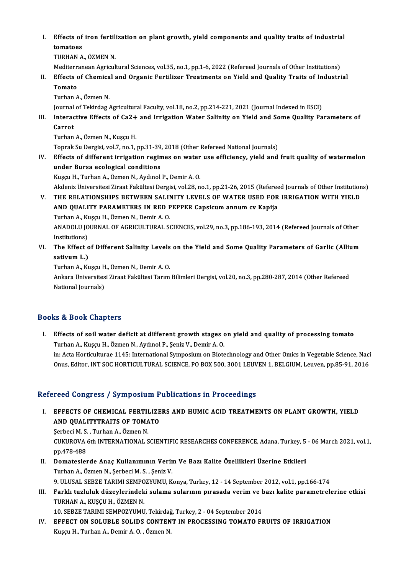I. Effects of iron fertilization on plant growth, yield components and quality traits of industrial tomatoes<br>TURHAN A., ÖZMEN N. Effects of iron fertil:<br>tomatoes<br>TURHAN A., ÖZMEN N.<br>Mediterreneen Acrieul tomatoes<br>TURHAN A., ÖZMEN N.<br>Mediterranean Agricultural Sciences, vol.35, no.1, pp.1-6, 2022 (Refereed Journals of Other Institutions)<br>Effecte of Chemical and Oxeania Fortilizer Treatments on Vield and Quality Treits of In

TURHAN A., ÖZMEN N.<br>Mediterranean Agricultural Sciences, vol.35, no.1, pp.1-6, 2022 (Refereed Journals of Other Institutions)<br>II. Effects of Chemical and Organic Fertilizer Treatments on Yield and Quality Traits of Industr Mediterr<br><mark>Effects</mark> of<br>Turban 4 Effects of Chemica<br>Tomato<br>Turhan A., Özmen N.<br>Journal of Tokirdag Tomato<br>Turhan A., Özmen N.<br>Journal of Tekirdag Agricultural Faculty, vol.18, no.2, pp.214-221, 2021 (Journal Indexed in ESCI)<br>Interactive Effects of Ca2 Land Invigation Water Salinity on Vield and Some Quality Po

Turhan A., Özmen N.<br>Journal of Tekirdag Agricultural Faculty, vol.18, no.2, pp.214-221, 2021 (Journal Indexed in ESCI)<br>III. Interactive Effects of Ca2+ and Irrigation Water Salinity on Yield and Some Quality Parameters Journal<br><mark>Interac</mark><br>Carrot<br><sup>Turbor</sup> Interactive Effects of Ca2+<br>Carrot<br>Turhan A., Özmen N., Kuşçu H.<br>Tenrek Su Dergisi vel 7, ne.1 Carrot<br>Turhan A., Özmen N., Kuşçu H.<br>Toprak Su Dergisi, vol.7, no.1, pp.31-39, 2018 (Other Refereed National Journals)

Turhan A., Özmen N., Kuşçu H.<br>Toprak Su Dergisi, vol.7, no.1, pp.31-39, 2018 (Other Refereed National Journals)<br>IV. Effects of different irrigation regimes on water use efficiency, yield and fruit quality of watermelon<br>und under Bursa ecological conditions<br>Kuşçu H., Turhan A., Özmen N., Aydınol P., Demir A. O. Effects of different irrigation regimes on water<br>under Bursa ecological conditions<br>Kuşçu H., Turhan A., Özmen N., Aydınol P., Demir A. O.<br>Aldenis Üniversitesi Zirest Fekültesi Densisi vel 28. n

under Bursa ecological conditions<br>Kuşçu H., Turhan A., Özmen N., Aydınol P., Demir A. O.<br>Akdeniz Üniversitesi Ziraat Fakültesi Dergisi, vol.28, no.1, pp.21-26, 2015 (Refereed Journals of Other Institutions)<br>THE REL ATIONSH

V. THE RELATIONSHIPS BETWEEN SALINITY LEVELS OF WATER USED FOR IRRIGATION WITH YIELD<br>AND QUALITY PARAMETERS IN RED PEPPER Capsicum annum cv Kapija Akdeniz Üniversitesi Ziraat Fakültesi Dergisi, vol.28, no.1, pp.21-26, 2015 (Referee<br>THE RELATIONSHIPS BETWEEN SALINITY LEVELS OF WATER USED FOR<br>AND QUALITY PARAMETERS IN RED PEPPER Capsicum annum cv Kapija<br>Turban A. Kusau THE RELATIONSHIPS BETWEEN SALIM<br>AND QUALITY PARAMETERS IN RED F<br>Turhan A., Kuşçu H., Özmen N., Demir A. O.<br>ANADOLU JOURNAL OF ACRICULTURAL SA

AND QUALITY PARAMETERS IN RED PEPPER Capsicum annum cv Kapija<br>Turhan A., Kuşçu H., Özmen N., Demir A. O.<br>ANADOLU JOURNAL OF AGRICULTURAL SCIENCES, vol.29, no.3, pp.186-193, 2014 (Refereed Journals of Other<br>Institutione) Turhan A., Ku<br>ANADOLU JO<br>Institutions)<br>The Effect c ANADOLU JOURNAL OF AGRICULTURAL SCIENCES, vol.29, no.3, pp.186-193, 2014 (Refereed Journals of Other<br>Institutions)<br>VI. The Effect of Different Salinity Levels on the Yield and Some Quality Parameters of Garlic (Allium<br>cati

Institutions)<br>VI. The Effect of Different Salinity Levels on the Yield and Some Quality Parameters of Garlic (Allium<br>sativum L.) The Effect of Different Salinity Levels<br>sativum L.)<br>Turhan A., Kuşçu H., Özmen N., Demir A. O.<br>Ankara Üniversitesi Ziraat Fakültesi Tarum

Ankara Üniversitesi Ziraat Fakültesi Tarım Bilimleri Dergisi, vol.20, no.3, pp.280-287, 2014 (Other Refereed<br>National Journals) Turhan A., Kuşçu H<br>Ankara Üniversites<br>National Journals)

## Books&Book Chapters

ooks & Book Chapters<br>I. Effects of soil water deficit at different growth stages on yield and quality of processing tomato to & Doon anapters<br>Effects of soil water deficit at different growth stages of<br>Turhan A., Kuşçu H., Özmen N., Aydınol P., Şeniz V., Demir A. O.<br>in: Asta Hartisulturee 1145: International Sumnesium on Biate Effects of soil water deficit at different growth stages on yield and quality of processing tomato<br>Turhan A., Kuşçu H., Özmen N., Aydınol P., Şeniz V., Demir A. O.<br>in: Acta Horticulturae 1145: International Symposium on Bi Turhan A., Kuşçu H., Özmen N., Aydınol P., Şeniz V., Demir A. O.<br>in: Acta Horticulturae 1145: International Symposium on Biotechnology and Other Omics in Vegetable Science, Naci<br>Onus, Editor, INT SOC HORTICULTURAL SCIENCE, Onus, Editor, INT SOC HORTICULTURAL SCIENCE, PO BOX 500, 3001 LEUVEN 1, BELGIUM, Leuven, pp.85-91, 2016<br>Refereed Congress / Symposium Publications in Proceedings

efereed Congress / Symposium Publications in Proceedings<br>I. EFFECTS OF CHEMICAL FERTILIZERS AND HUMIC ACID TREATMENTS ON PLANT GROWTH, YIELD **EFFECTS OF CHEMICAL FERTILIZE**<br> **AND QUALITYTRAITS OF TOMATO**<br>
Serbesi M. S. Turban A. Özmen N. EFFECTS OF CHEMICAL FERTII<br>AND QUALITYTRAITS OF TOMA<br>Serbeci M.S., Turhan A., Özmen N.<br>CUKUROVA Eth INTERNATIONAL S

AND QUALITYTRAITS OF TOMATO<br>Şerbeci M. S. , Turhan A., Özmen N.<br>CUKUROVA 6th INTERNATIONAL SCIENTIFIC RESEARCHES CONFERENCE, Adana, Turkey, 5 - 06 March 2021, vol.1,<br>nn 479,489 Serbeci M. S.<br>CUKUROVA<br>pp.478-488<br>Dematesler CUKUROVA 6th INTERNATIONAL SCIENTIFIC RESEARCHES CONFERENCE, Adana, Turkey, 5<br>pp.478-488<br>II. Domateslerde Anaç Kullanımının Verim Ve Bazı Kalite Özellikleri Üzerine Etkileri<br>Turban A. Özman N. Sarbasi M. S. Saniz V.

- pp.478-488<br>II. Domateslerde Anaç Kullanımının Verim Ve Bazı Kalite Özellikleri Üzerine Etkileri<br>Turhan A., Özmen N., Şerbeci M. S., Şeniz V. Domateslerde Anaç Kullanımının Verim Ve Bazı Kalite Özellikleri Üzerine Etkileri<br>Turhan A., Özmen N., Şerbeci M. S. , Şeniz V.<br>9. ULUSAL SEBZE TARIMI SEMPOZYUMU, Konya, Turkey, 12 - 14 September 2012, vol.1, pp.166-174<br>Far Iurhan A., Özmen N., Şerbeci M. S. , Şeniz V.<br>12 - 14 September 2012, vol.1, pp.166-174<br>11. Farklı tuzluluk düzeylerindeki sulama sularının pırasada verim ve bazı kalite parametrelerine etkisi<br>11. TUPHAN A. KUSCU H.
- 9. ULUSAL SEBZE TARIMI SEMPO<br>Farklı tuzluluk düzeylerindek<br>TURHAN A., KUŞÇU H., ÖZMEN N.<br>10. SEBZE TARIMI SEMPOZYUMU Farklı tuzluluk düzeylerindeki sulama sularının pırasada verim ve t<br>TURHAN A., KUŞÇU H., ÖZMEN N.<br>10. SEBZE TARIMI SEMPOZYUMU, Tekirdağ, Turkey, 2 - 04 September 2014<br>EEEECT ON SOLURLE SOLUNS CONTENT IN RROCESSING TOMATO E

10. SEBZE TARIMI SEMPOZYUMU, Tekirdağ, Turkey, 2 - 04 September 2014

TURHAN A., KUŞÇU H., ÖZMEN N.<br>10. SEBZE TARIMI SEMPOZYUMU, Tekirdağ, Turkey, 2 - 04 September 2014<br>IV. EFFECT ON SOLUBLE SOLIDS CONTENT IN PROCESSING TOMATO FRUITS OF IRRIGATION<br>Kuşçu H., Turhan A., Demir A. O., Özmen N.